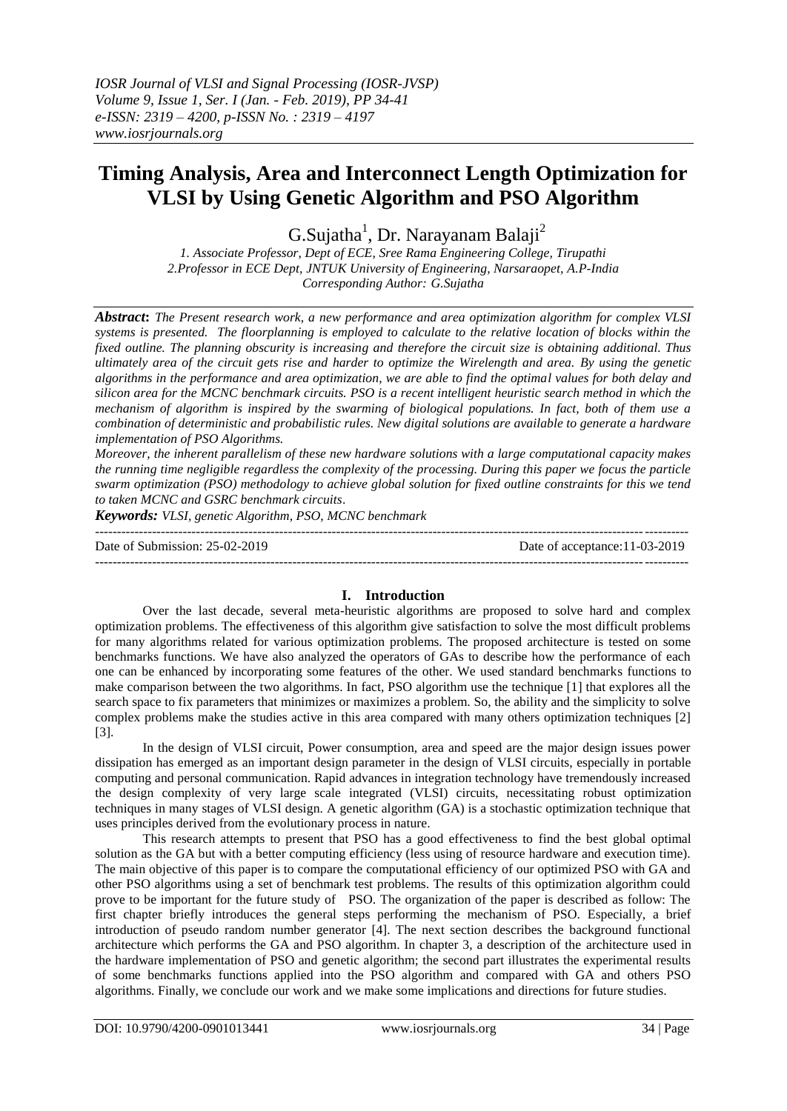# **Timing Analysis, Area and Interconnect Length Optimization for VLSI by Using Genetic Algorithm and PSO Algorithm**

 $G.S$ ujatha<sup>1</sup>, Dr. Narayanam Balaji<sup>2</sup>

*1. Associate Professor, Dept of ECE, Sree Rama Engineering College, Tirupathi 2.Professor in ECE Dept, JNTUK University of Engineering, Narsaraopet, A.P-India Corresponding Author: G.Sujatha*

*Abstract***:** *The Present research work, a new performance and area optimization algorithm for complex VLSI systems is presented. The floorplanning is employed to calculate to the relative location of blocks within the fixed outline. The planning obscurity is increasing and therefore the circuit size is obtaining additional. Thus ultimately area of the circuit gets rise and harder to optimize the Wirelength and area. By using the genetic algorithms in the performance and area optimization, we are able to find the optimal values for both delay and silicon area for the MCNC benchmark circuits. PSO is a recent intelligent heuristic search method in which the mechanism of algorithm is inspired by the swarming of biological populations. In fact, both of them use a combination of deterministic and probabilistic rules. New digital solutions are available to generate a hardware implementation of PSO Algorithms.* 

*Moreover, the inherent parallelism of these new hardware solutions with a large computational capacity makes the running time negligible regardless the complexity of the processing. During this paper we focus the particle swarm optimization (PSO) methodology to achieve global solution for fixed outline constraints for this we tend to taken MCNC and GSRC benchmark circuits*.

*Keywords: VLSI, genetic Algorithm, PSO, MCNC benchmark*

| Date of Submission: 25-02-2019 | Date of acceptance: 11-03-2019 |
|--------------------------------|--------------------------------|
|                                |                                |

## **I. Introduction**

Over the last decade, several meta-heuristic algorithms are proposed to solve hard and complex optimization problems. The effectiveness of this algorithm give satisfaction to solve the most difficult problems for many algorithms related for various optimization problems. The proposed architecture is tested on some benchmarks functions. We have also analyzed the operators of GAs to describe how the performance of each one can be enhanced by incorporating some features of the other. We used standard benchmarks functions to make comparison between the two algorithms. In fact, PSO algorithm use the technique [1] that explores all the search space to fix parameters that minimizes or maximizes a problem. So, the ability and the simplicity to solve complex problems make the studies active in this area compared with many others optimization techniques [2] [3].

In the design of VLSI circuit, Power consumption, area and speed are the major design issues power dissipation has emerged as an important design parameter in the design of VLSI circuits, especially in portable computing and personal communication. Rapid advances in integration technology have tremendously increased the design complexity of very large scale integrated (VLSI) circuits, necessitating robust optimization techniques in many stages of VLSI design. A genetic algorithm (GA) is a stochastic optimization technique that uses principles derived from the evolutionary process in nature.

This research attempts to present that PSO has a good effectiveness to find the best global optimal solution as the GA but with a better computing efficiency (less using of resource hardware and execution time). The main objective of this paper is to compare the computational efficiency of our optimized PSO with GA and other PSO algorithms using a set of benchmark test problems. The results of this optimization algorithm could prove to be important for the future study of PSO. The organization of the paper is described as follow: The first chapter briefly introduces the general steps performing the mechanism of PSO. Especially, a brief introduction of pseudo random number generator [4]. The next section describes the background functional architecture which performs the GA and PSO algorithm. In chapter 3, a description of the architecture used in the hardware implementation of PSO and genetic algorithm; the second part illustrates the experimental results of some benchmarks functions applied into the PSO algorithm and compared with GA and others PSO algorithms. Finally, we conclude our work and we make some implications and directions for future studies.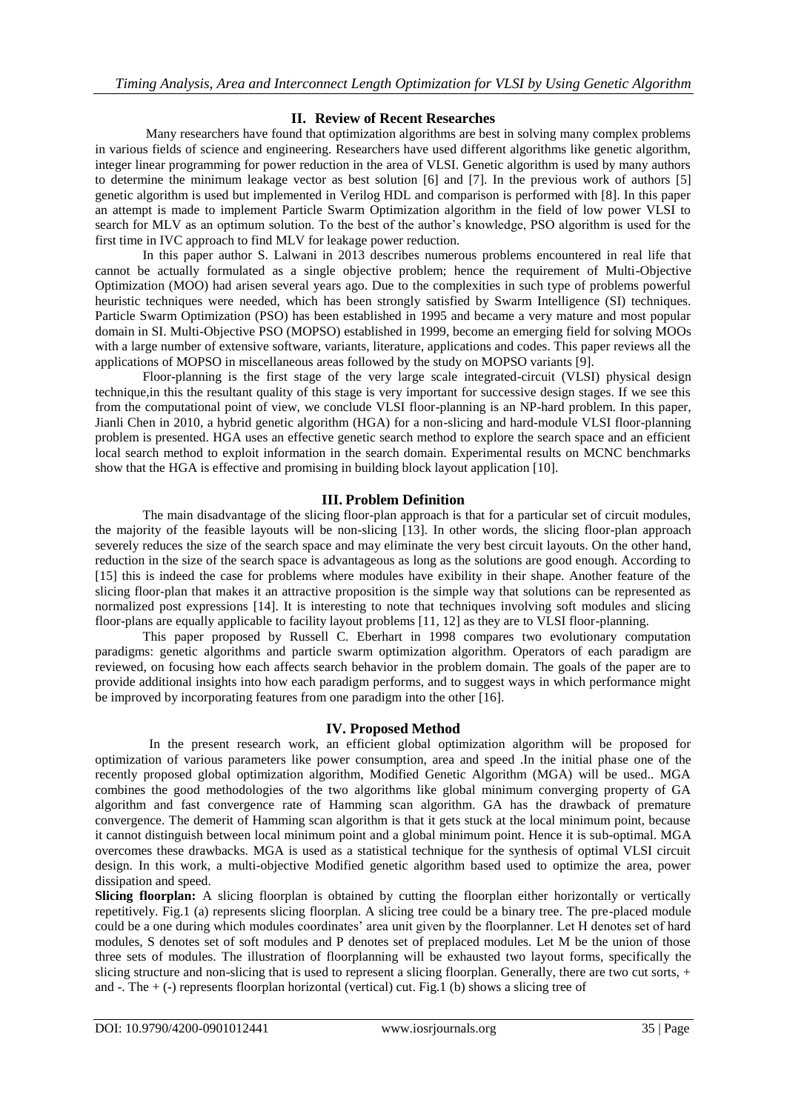## **II. Review of Recent Researches**

Many researchers have found that optimization algorithms are best in solving many complex problems in various fields of science and engineering. Researchers have used different algorithms like genetic algorithm, integer linear programming for power reduction in the area of VLSI. Genetic algorithm is used by many authors to determine the minimum leakage vector as best solution [6] and [7]. In the previous work of authors [5] genetic algorithm is used but implemented in Verilog HDL and comparison is performed with [8]. In this paper an attempt is made to implement Particle Swarm Optimization algorithm in the field of low power VLSI to search for MLV as an optimum solution. To the best of the author's knowledge, PSO algorithm is used for the first time in IVC approach to find MLV for leakage power reduction.

In this paper author S. Lalwani in 2013 describes numerous problems encountered in real life that cannot be actually formulated as a single objective problem; hence the requirement of Multi-Objective Optimization (MOO) had arisen several years ago. Due to the complexities in such type of problems powerful heuristic techniques were needed, which has been strongly satisfied by Swarm Intelligence (SI) techniques. Particle Swarm Optimization (PSO) has been established in 1995 and became a very mature and most popular domain in SI. Multi-Objective PSO (MOPSO) established in 1999, become an emerging field for solving MOOs with a large number of extensive software, variants, literature, applications and codes. This paper reviews all the applications of MOPSO in miscellaneous areas followed by the study on MOPSO variants [9].

Floor-planning is the first stage of the very large scale integrated-circuit (VLSI) physical design technique,in this the resultant quality of this stage is very important for successive design stages. If we see this from the computational point of view, we conclude VLSI floor-planning is an NP-hard problem. In this paper, Jianli Chen in 2010, a hybrid genetic algorithm (HGA) for a non-slicing and hard-module VLSI floor-planning problem is presented. HGA uses an effective genetic search method to explore the search space and an efficient local search method to exploit information in the search domain. Experimental results on MCNC benchmarks show that the HGA is effective and promising in building block layout application [10].

## **III. Problem Definition**

The main disadvantage of the slicing floor-plan approach is that for a particular set of circuit modules, the majority of the feasible layouts will be non-slicing [13]. In other words, the slicing floor-plan approach severely reduces the size of the search space and may eliminate the very best circuit layouts. On the other hand, reduction in the size of the search space is advantageous as long as the solutions are good enough. According to [15] this is indeed the case for problems where modules have exibility in their shape. Another feature of the slicing floor-plan that makes it an attractive proposition is the simple way that solutions can be represented as normalized post expressions [14]. It is interesting to note that techniques involving soft modules and slicing floor-plans are equally applicable to facility layout problems [11, 12] as they are to VLSI floor-planning.

This paper proposed by Russell C. Eberhart in 1998 compares two evolutionary computation paradigms: genetic algorithms and particle swarm optimization algorithm. Operators of each paradigm are reviewed, on focusing how each affects search behavior in the problem domain. The goals of the paper are to provide additional insights into how each paradigm performs, and to suggest ways in which performance might be improved by incorporating features from one paradigm into the other [16].

## **IV. Proposed Method**

 In the present research work, an efficient global optimization algorithm will be proposed for optimization of various parameters like power consumption, area and speed .In the initial phase one of the recently proposed global optimization algorithm, Modified Genetic Algorithm (MGA) will be used.. MGA combines the good methodologies of the two algorithms like global minimum converging property of GA algorithm and fast convergence rate of Hamming scan algorithm. GA has the drawback of premature convergence. The demerit of Hamming scan algorithm is that it gets stuck at the local minimum point, because it cannot distinguish between local minimum point and a global minimum point. Hence it is sub-optimal. MGA overcomes these drawbacks. MGA is used as a statistical technique for the synthesis of optimal VLSI circuit design. In this work, a multi-objective Modified genetic algorithm based used to optimize the area, power dissipation and speed.

**Slicing floorplan:** A slicing floorplan is obtained by cutting the floorplan either horizontally or vertically repetitively. Fig.1 (a) represents slicing floorplan. A slicing tree could be a binary tree. The pre-placed module could be a one during which modules coordinates" area unit given by the floorplanner. Let H denotes set of hard modules, S denotes set of soft modules and P denotes set of preplaced modules. Let M be the union of those three sets of modules. The illustration of floorplanning will be exhausted two layout forms, specifically the slicing structure and non-slicing that is used to represent a slicing floorplan. Generally, there are two cut sorts, + and  $-$ . The  $+$  ( $-$ ) represents floorplan horizontal (vertical) cut. Fig.1 (b) shows a slicing tree of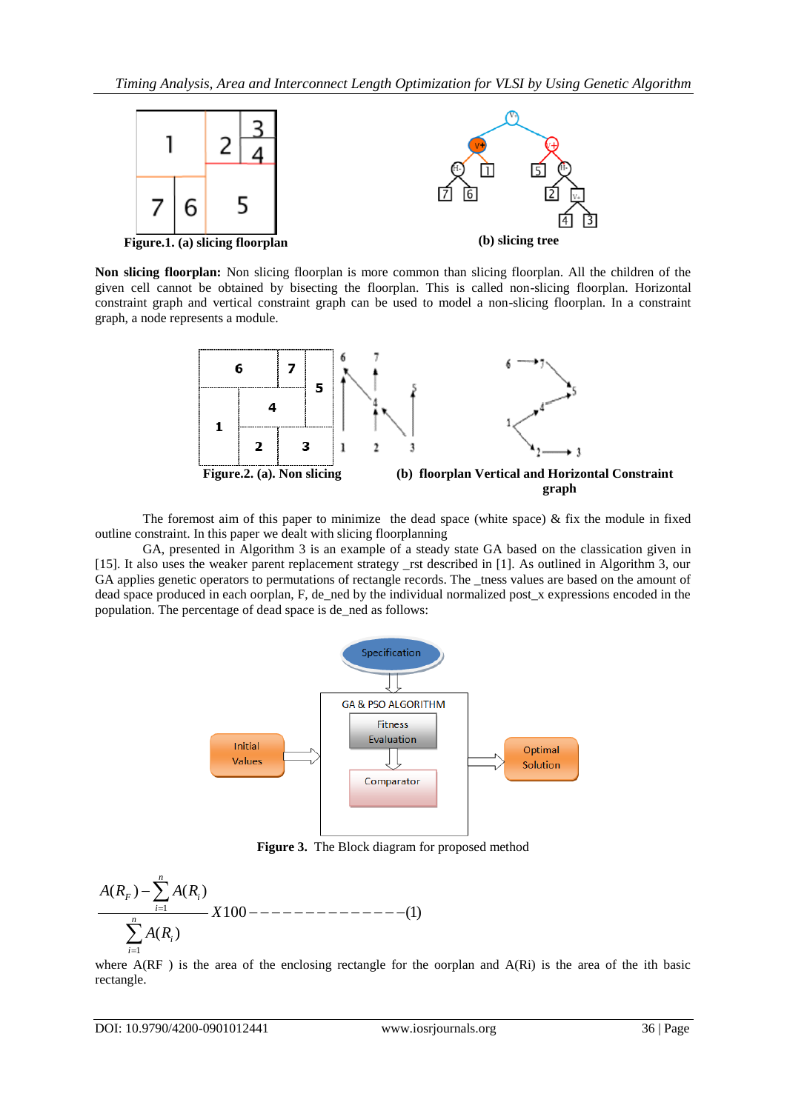

**Non slicing floorplan:** Non slicing floorplan is more common than slicing floorplan. All the children of the given cell cannot be obtained by bisecting the floorplan. This is called non-slicing floorplan. Horizontal constraint graph and vertical constraint graph can be used to model a non-slicing floorplan. In a constraint graph, a node represents a module.



The foremost aim of this paper to minimize the dead space (white space)  $\&$  fix the module in fixed outline constraint. In this paper we dealt with slicing floorplanning

GA, presented in Algorithm 3 is an example of a steady state GA based on the classication given in [15]. It also uses the weaker parent replacement strategy \_rst described in [1]. As outlined in Algorithm 3, our GA applies genetic operators to permutations of rectangle records. The \_tness values are based on the amount of dead space produced in each oorplan, F, de\_ned by the individual normalized post\_x expressions encoded in the population. The percentage of dead space is de\_ned as follows:



**Figure 3.** The Block diagram for proposed method

1 1 ( ) ( ) 100 (1) ( ) *n F i i n i i A R A R X A R* 

where A(RF) is the area of the enclosing rectangle for the oorplan and A(Ri) is the area of the ith basic rectangle.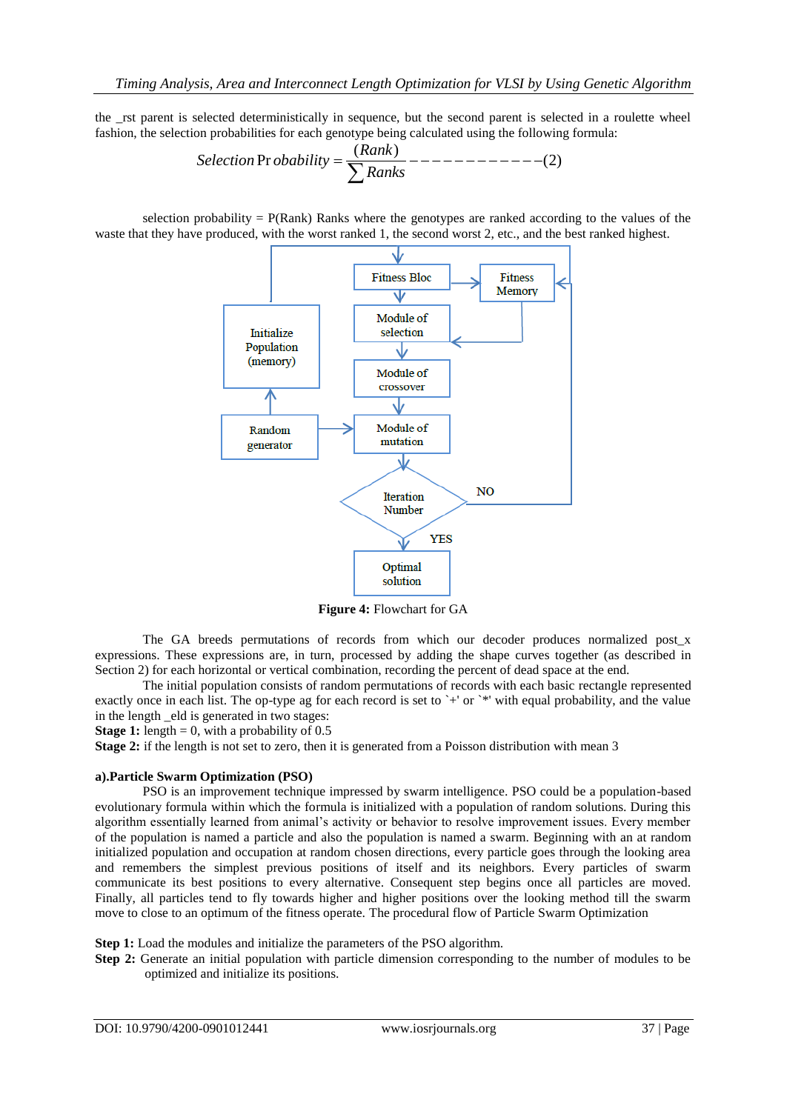the \_rst parent is selected deterministically in sequence, but the second parent is selected in a roulette wheel<br>fashion, the selection probabilities for each genotype being calculated using the following formula:<br> $Selection \text{Pr }$ fashion, the selection probabilities for each genotype being calculated using the following formula:

elected deterministically in sequence, but the second parent is selected in  
on probabilities for each genotype being calculated using the following form  
*Selection* Pr *obability* = 
$$
\frac{(Rank)}{\sum Ranks}
$$
----- (2)

selection probability  $= P(Rank)$  Ranks where the genotypes are ranked according to the values of the waste that they have produced, with the worst ranked 1, the second worst 2, etc., and the best ranked highest.



**Figure 4:** Flowchart for GA

The GA breeds permutations of records from which our decoder produces normalized post\_x expressions. These expressions are, in turn, processed by adding the shape curves together (as described in Section 2) for each horizontal or vertical combination, recording the percent of dead space at the end.

The initial population consists of random permutations of records with each basic rectangle represented exactly once in each list. The op-type ag for each record is set to `+' or `\*' with equal probability, and the value in the length \_eld is generated in two stages:

**Stage 1:** length  $= 0$ , with a probability of 0.5

**Stage 2:** if the length is not set to zero, then it is generated from a Poisson distribution with mean 3

#### **a).Particle Swarm Optimization (PSO)**

PSO is an improvement technique impressed by swarm intelligence. PSO could be a population-based evolutionary formula within which the formula is initialized with a population of random solutions. During this algorithm essentially learned from animal"s activity or behavior to resolve improvement issues. Every member of the population is named a particle and also the population is named a swarm. Beginning with an at random initialized population and occupation at random chosen directions, every particle goes through the looking area and remembers the simplest previous positions of itself and its neighbors. Every particles of swarm communicate its best positions to every alternative. Consequent step begins once all particles are moved. Finally, all particles tend to fly towards higher and higher positions over the looking method till the swarm move to close to an optimum of the fitness operate. The procedural flow of Particle Swarm Optimization

**Step 1:** Load the modules and initialize the parameters of the PSO algorithm.

**Step 2:** Generate an initial population with particle dimension corresponding to the number of modules to be optimized and initialize its positions.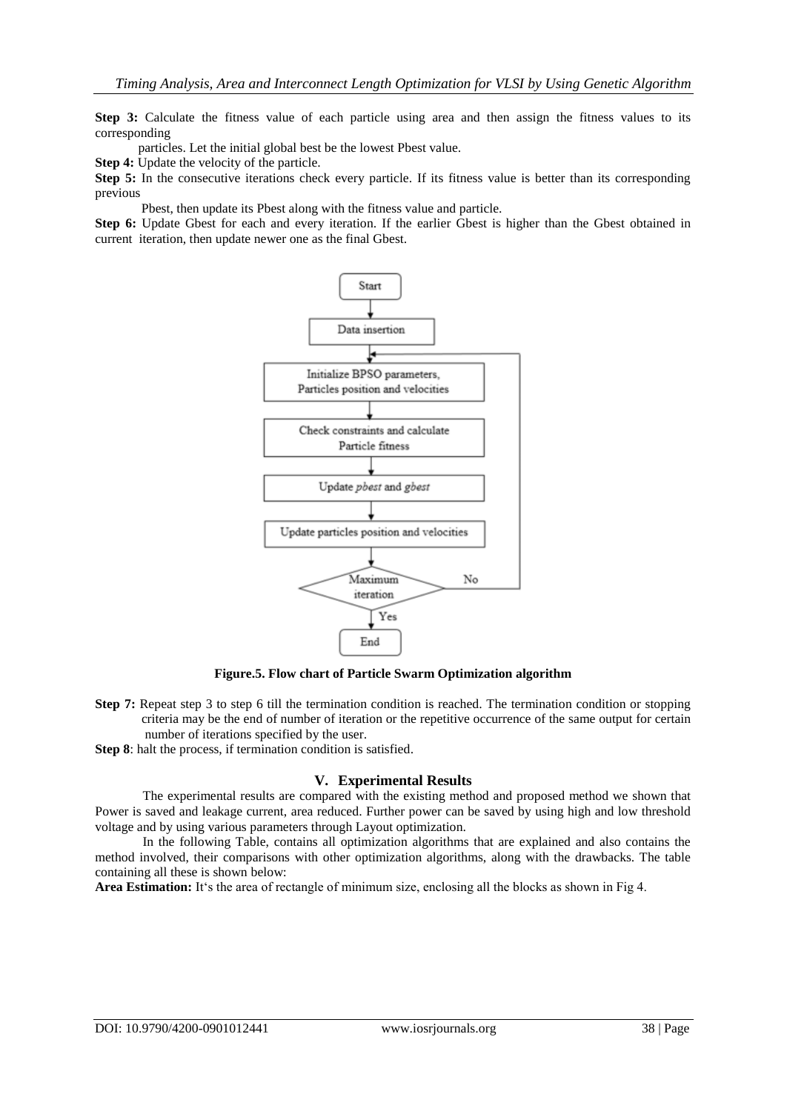**Step 3:** Calculate the fitness value of each particle using area and then assign the fitness values to its corresponding

particles. Let the initial global best be the lowest Pbest value.

**Step 4:** Update the velocity of the particle.

**Step 5:** In the consecutive iterations check every particle. If its fitness value is better than its corresponding previous

Pbest, then update its Pbest along with the fitness value and particle.

Step 6: Update Gbest for each and every iteration. If the earlier Gbest is higher than the Gbest obtained in current iteration, then update newer one as the final Gbest.



**Figure.5. Flow chart of Particle Swarm Optimization algorithm**

**Step 7:** Repeat step 3 to step 6 till the termination condition is reached. The termination condition or stopping criteria may be the end of number of iteration or the repetitive occurrence of the same output for certain number of iterations specified by the user.

**Step 8**: halt the process, if termination condition is satisfied.

#### **V. Experimental Results**

The experimental results are compared with the existing method and proposed method we shown that Power is saved and leakage current, area reduced. Further power can be saved by using high and low threshold voltage and by using various parameters through Layout optimization.

In the following Table, contains all optimization algorithms that are explained and also contains the method involved, their comparisons with other optimization algorithms, along with the drawbacks. The table containing all these is shown below:

**Area Estimation:** It's the area of rectangle of minimum size, enclosing all the blocks as shown in Fig 4.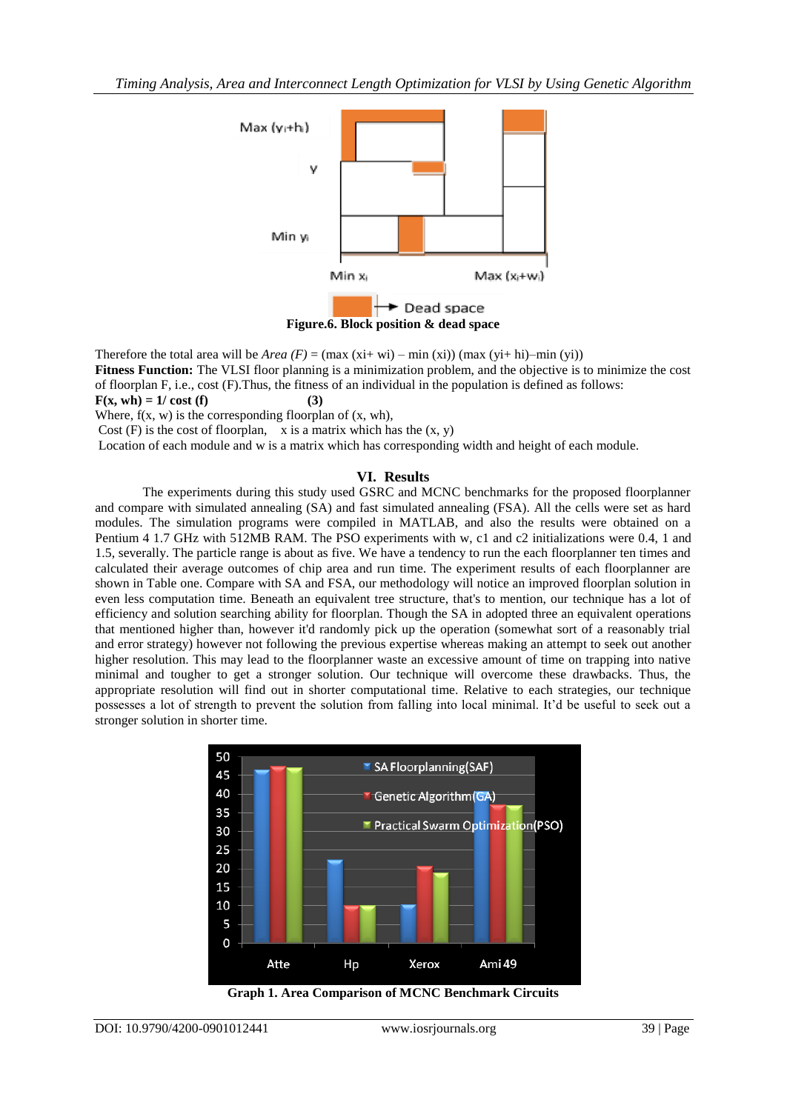

Therefore the total area will be *Area*  $(F) = (\max(x_i + wi) - \min(x_i)) (\max(y_i + hi) - \min(y_i))$ **Fitness Function:** The VLSI floor planning is a minimization problem, and the objective is to minimize the cost of floorplan F, i.e., cost (F).Thus, the fitness of an individual in the population is defined as follows:  $F(x, wh) = 1/\cos t$  (f) (3) Where,  $f(x, w)$  is the corresponding floorplan of  $(x, wh)$ ,

Cost  $(F)$  is the cost of floorplan, x is a matrix which has the  $(x, y)$ 

Location of each module and w is a matrix which has corresponding width and height of each module.

### **VI. Results**

The experiments during this study used GSRC and MCNC benchmarks for the proposed floorplanner and compare with simulated annealing (SA) and fast simulated annealing (FSA). All the cells were set as hard modules. The simulation programs were compiled in MATLAB, and also the results were obtained on a Pentium 4 1.7 GHz with 512MB RAM. The PSO experiments with w, c1 and c2 initializations were 0.4, 1 and 1.5, severally. The particle range is about as five. We have a tendency to run the each floorplanner ten times and calculated their average outcomes of chip area and run time. The experiment results of each floorplanner are shown in Table one. Compare with SA and FSA, our methodology will notice an improved floorplan solution in even less computation time. Beneath an equivalent tree structure, that's to mention, our technique has a lot of efficiency and solution searching ability for floorplan. Though the SA in adopted three an equivalent operations that mentioned higher than, however it'd randomly pick up the operation (somewhat sort of a reasonably trial and error strategy) however not following the previous expertise whereas making an attempt to seek out another higher resolution. This may lead to the floorplanner waste an excessive amount of time on trapping into native minimal and tougher to get a stronger solution. Our technique will overcome these drawbacks. Thus, the appropriate resolution will find out in shorter computational time. Relative to each strategies, our technique possesses a lot of strength to prevent the solution from falling into local minimal. It"d be useful to seek out a stronger solution in shorter time.



**Graph 1. Area Comparison of MCNC Benchmark Circuits**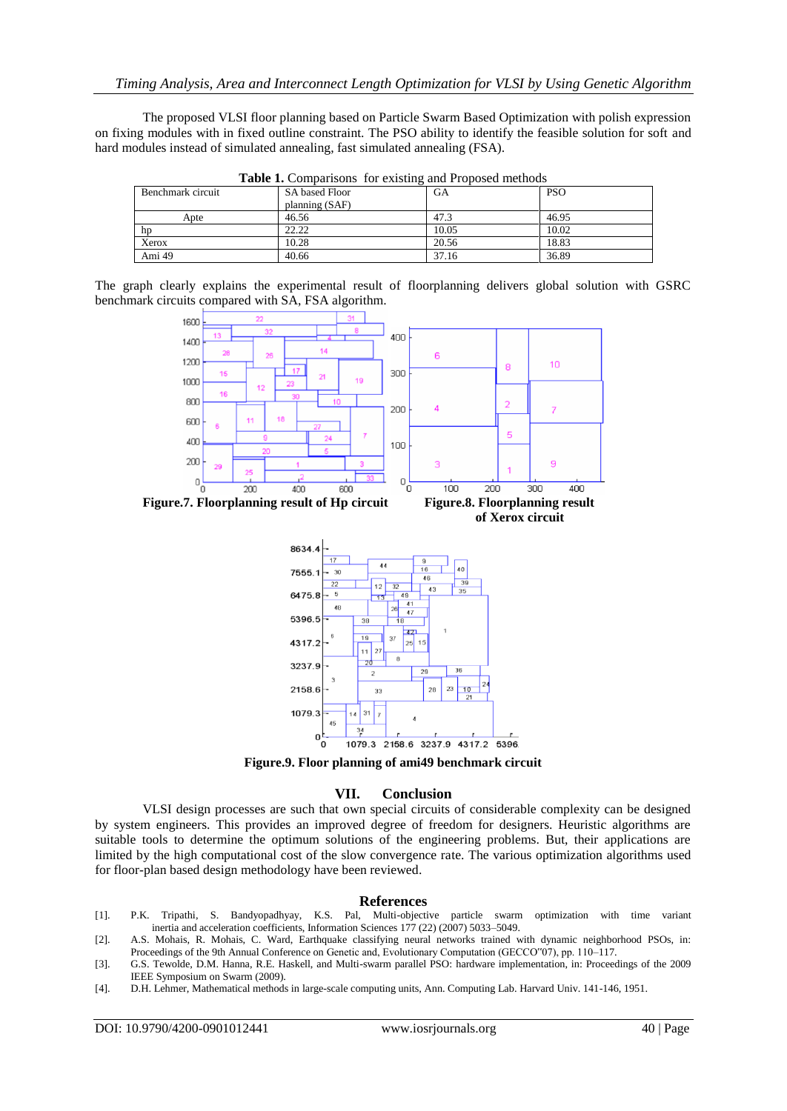The proposed VLSI floor planning based on Particle Swarm Based Optimization with polish expression on fixing modules with in fixed outline constraint. The PSO ability to identify the feasible solution for soft and hard modules instead of simulated annealing, fast simulated annealing (FSA).

| <b>Table 1.</b> Comparisons for existing and Proposed methods |                       |       |            |  |
|---------------------------------------------------------------|-----------------------|-------|------------|--|
| Benchmark circuit                                             | <b>SA</b> based Floor | GA    | <b>PSO</b> |  |
|                                                               | planning (SAF)        |       |            |  |
| Apte                                                          | 46.56                 | 47.3  | 46.95      |  |
| hp                                                            | 22.22                 | 10.05 | 10.02      |  |
| Xerox                                                         | 10.28                 | 20.56 | 18.83      |  |
| Ami 49                                                        | 40.66                 | 37.16 | 36.89      |  |

**Table 1.** Comparisons for existing and Proposed methods

The graph clearly explains the experimental result of floorplanning delivers global solution with GSRC benchmark circuits compared with SA, FSA algorithm.





**Figure.9. Floor planning of ami49 benchmark circuit**

#### **VII. Conclusion**

VLSI design processes are such that own special circuits of considerable complexity can be designed by system engineers. This provides an improved degree of freedom for designers. Heuristic algorithms are suitable tools to determine the optimum solutions of the engineering problems. But, their applications are limited by the high computational cost of the slow convergence rate. The various optimization algorithms used for floor-plan based design methodology have been reviewed.

#### **References**

- [1]. P.K. Tripathi, S. Bandyopadhyay, K.S. Pal, Multi-objective particle swarm optimization with time variant inertia and acceleration coefficients, Information Sciences 177 (22) (2007) 5033–5049.
- [2]. A.S. Mohais, R. Mohais, C. Ward, Earthquake classifying neural networks trained with dynamic neighborhood PSOs, in: Proceedings of the 9th Annual Conference on Genetic and, Evolutionary Computation (GECCO"07), pp. 110–117.
- [3]. G.S. Tewolde, D.M. Hanna, R.E. Haskell, and Multi-swarm parallel PSO: hardware implementation, in: Proceedings of the 2009 IEEE Symposium on Swarm (2009).
- [4]. D.H. Lehmer, Mathematical methods in large-scale computing units, Ann. Computing Lab. Harvard Univ. 141-146, 1951.